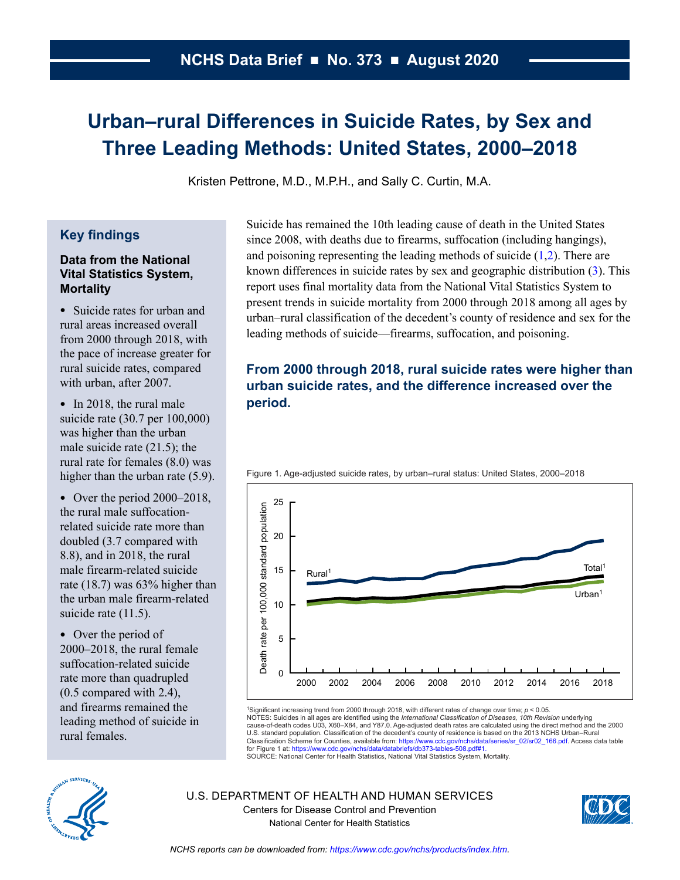# <span id="page-0-0"></span>**Urban–rural Differences in Suicide Rates, by Sex and Three Leading Methods: United States, 2000–2018**

Kristen Pettrone, M.D., M.P.H., and Sally C. Curtin, M.A.

## **Key findings**

### **Data from the National Vital Statistics System, Mortality**

• Suicide rates for urban and rural areas increased overall from 2000 through 2018, with the pace of increase greater for rural suicide rates, compared with urban, after 2007.

• In 2018, the rural male suicide rate (30.7 per 100,000) was higher than the urban male suicide rate (21.5); the rural rate for females (8.0) was higher than the urban rate (5.9).

• Over the period  $2000-2018$ , the rural male suffocationrelated suicide rate more than doubled (3.7 compared with 8.8), and in 2018, the rural male firearm-related suicide rate (18.7) was 63% higher than the urban male firearm-related suicide rate (11.5).

• Over the period of 2000–2018, the rural female suffocation-related suicide rate more than quadrupled (0.5 compared with 2.4), and firearms remained the leading method of suicide in rural females.

Suicide has remained the 10th leading cause of death in the United States since 2008, with deaths due to firearms, suffocation (including hangings), and poisoning representing the leading methods of suicide  $(1,2)$  $(1,2)$  $(1,2)$  $(1,2)$ . There are known differences in suicide rates by sex and geographic distribution  $(3)$ . This report uses final mortality data from the National Vital Statistics System to present trends in suicide mortality from 2000 through 2018 among all ages by urban–rural classification of the decedent's county of residence and sex for the leading methods of suicide—firearms, suffocation, and poisoning.

# **From 2000 through 2018, rural suicide rates were higher than urban suicide rates, and the difference increased over the period.**



Figure 1. Age-adjusted suicide rates, by urban–rural status: United States, 2000–2018

1Significant increasing trend from 2000 through 2018, with different rates of change over time; *p* < 0.05. NOTES: Suicides in all ages are identified using the *International Classification of Diseases, 10th Revision* underlying<br>cause-of-death codes U03, X60–X84, and Y87.0. Age-adjusted death rates are calculated using the dire U.S. standard population. Classification of the decedent's county of residence is based on the 2013 NCHS Urban–Rural Classification Scheme for Counties, available from: [https://www.cdc.gov/nchs/data/series/sr\\_02/sr02\\_166.pdf](https://www.cdc.gov/nchs/data/series/sr_02/sr02_166.pdf). Access data table<br>for Figure 1 at: [https://www.cdc.gov/nchs/data/databriefs/db373-tables-508.pdf#1.](https://www.cdc.gov/nchs/data/databriefs/db373-tables-508.pdf#1)



U.S. DEPARTMENT OF HEALTH AND HUMAN SERVICES Centers for Disease Control and Prevention National Center for Health Statistics

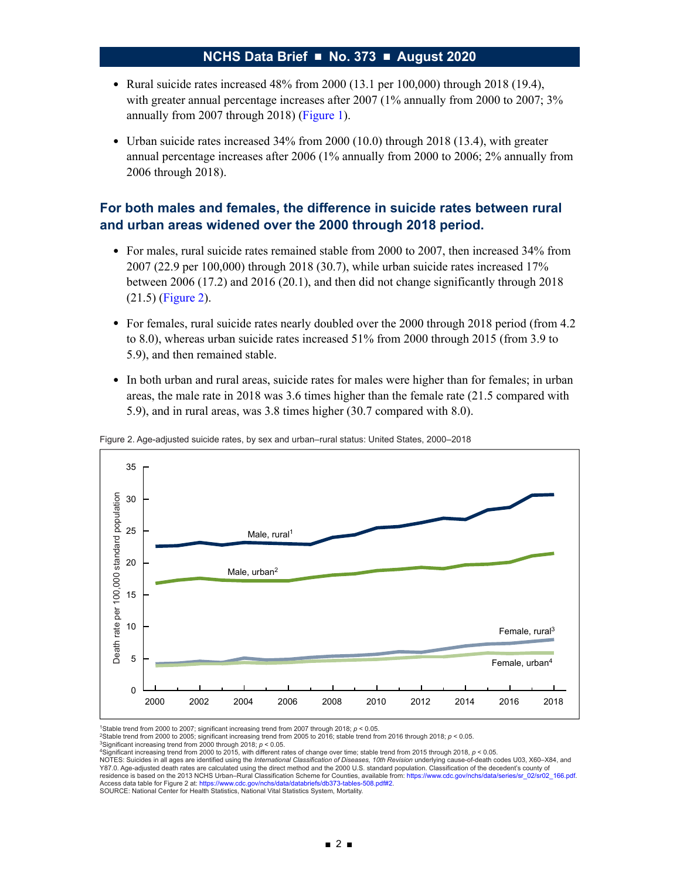- Rural suicide rates increased  $48\%$  from  $2000$  (13.1 per 100,000) through 2018 (19.4), with greater annual percentage increases after 2007 (1% annually from 2000 to 2007; 3% annually from 2007 through 2018) ([Figure 1\)](#page-0-0).
- Urban suicide rates increased 34% from 2000 (10.0) through 2018 (13.4), with greater annual percentage increases after 2006 (1% annually from 2000 to 2006; 2% annually from 2006 through 2018).

### **For both males and females, the difference in suicide rates between rural and urban areas widened over the 2000 through 2018 period.**

- For males, rural suicide rates remained stable from 2000 to 2007, then increased 34% from 2007 (22.9 per 100,000) through 2018 (30.7), while urban suicide rates increased 17% between 2006 (17.2) and 2016 (20.1), and then did not change significantly through 2018 (21.5) (Figure 2).
- For females, rural suicide rates nearly doubled over the 2000 through 2018 period (from 4.2 to 8.0), whereas urban suicide rates increased 51% from 2000 through 2015 (from 3.9 to 5.9), and then remained stable.
- In both urban and rural areas, suicide rates for males were higher than for females; in urban areas, the male rate in 2018 was 3.6 times higher than the female rate (21.5 compared with 5.9), and in rural areas, was 3.8 times higher (30.7 compared with 8.0).



Figure 2. Age-adjusted suicide rates, by sex and urban–rural status: United States, 2000–2018

1Stable trend from 2000 to 2007; significant increasing trend from 2007 through 2018; ρ < 0.05.<br><sup>2</sup>Stable trend from 2000 to 2005; significant increasing trend from 2005 to 2016; stable trend from 2016 through 2018; ρ < 0

<sup>4</sup>Significant increasing trend from 2000 to 2015, with different rates of change over time; stable trend from 2015 through 2018, *p* < 0.05.<br>NOTES: Suicides in all ages are identified using the *International Classificati* Y87.0. Age-adjusted death rates are calculated using the direct method and the 2000 U.S. standard population. Classification of the decedent's county of residence is based on the 2013 NCHS Urban–Rural Classification Scheme for Counties, available from: [https://www.cdc.gov/nchs/data/series/sr\\_02/sr02\\_166.pdf.](https://www.cdc.gov/nchs/data/series/sr_02/sr02_166.pdf)<br>Access data table for Figure 2 at: https://www.cdc.gov/nchs/data/ SOURCE: National Center for Health Statistics, National Vital Statistics System, Mortality.

<sup>&</sup>lt;sup>3</sup>Significant increasing trend from 2000 through 2018;  $p < 0.05$ .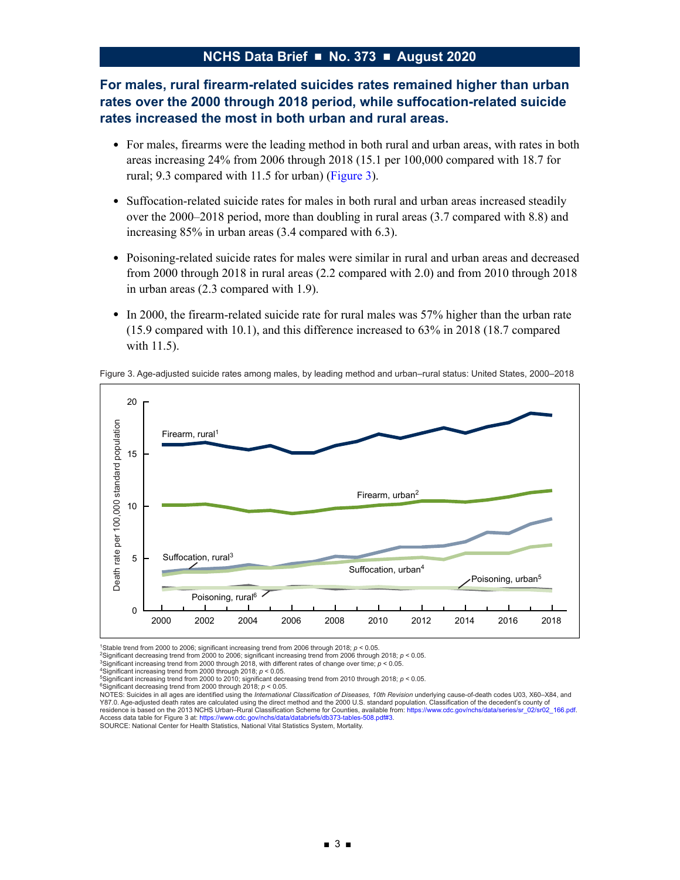# **For males, rural firearm-related suicides rates remained higher than urban rates over the 2000 through 2018 period, while suffocation-related suicide rates increased the most in both urban and rural areas.**

- For males, firearms were the leading method in both rural and urban areas, with rates in both areas increasing 24% from 2006 through 2018 (15.1 per 100,000 compared with 18.7 for rural; 9.3 compared with 11.5 for urban) (Figure 3).
- Suffocation-related suicide rates for males in both rural and urban areas increased steadily over the 2000–2018 period, more than doubling in rural areas (3.7 compared with 8.8) and increasing 85% in urban areas (3.4 compared with 6.3).
- Poisoning-related suicide rates for males were similar in rural and urban areas and decreased from 2000 through 2018 in rural areas (2.2 compared with 2.0) and from 2010 through 2018 in urban areas (2.3 compared with 1.9).
- In 2000, the firearm-related suicide rate for rural males was 57% higher than the urban rate (15.9 compared with 10.1), and this difference increased to 63% in 2018 (18.7 compared with 11.5).





1Stable trend from 2000 to 2006; significant increasing trend from 2006 through 2018; *p* < 0.05.

<sup>2</sup>Significant decreasing trend from 2000 to 2006; significant increasing trend from 2006 through 2018; *p* < 0.05.<br><sup>3</sup>Significant increasing trend from 2000 through 2018, with different rates of change over time; *p* < 0.

4Significant increasing trend from 2000 through 2018; *p* < 0.05. 5Significant increasing trend from 2000 to 2010; significant decreasing trend from 2010 through 2018; *p* < 0.05.

<sup>6</sup>Significant decreasing trend from 2000 through 2018; *p* < 0.05.

NOTES: Suicides in all ages are identified using the *International Classification of Diseases, 10th Revision* underlying cause-of-death codes U03, X60–X84, and Y87.0. Age-adjusted death rates are calculated using the direct method and the 2000 U.S. standard population. Classification of the decedent's county of residence is based on the 2013 NCHS Urban–Rural Classification Scheme for Counties, available from: [https://www.cdc.gov/nchs/data/series/sr\\_02/sr02\\_166.pdf](https://www.cdc.gov/nchs/data/series/sr_02/sr02_166.pdf). Access data table for Figure 3 at:<https://www.cdc.gov/nchs/data/databriefs/db373-tables-508.pdf#3>. SOURCE: National Center for Health Statistics, National Vital Statistics System, Mortality.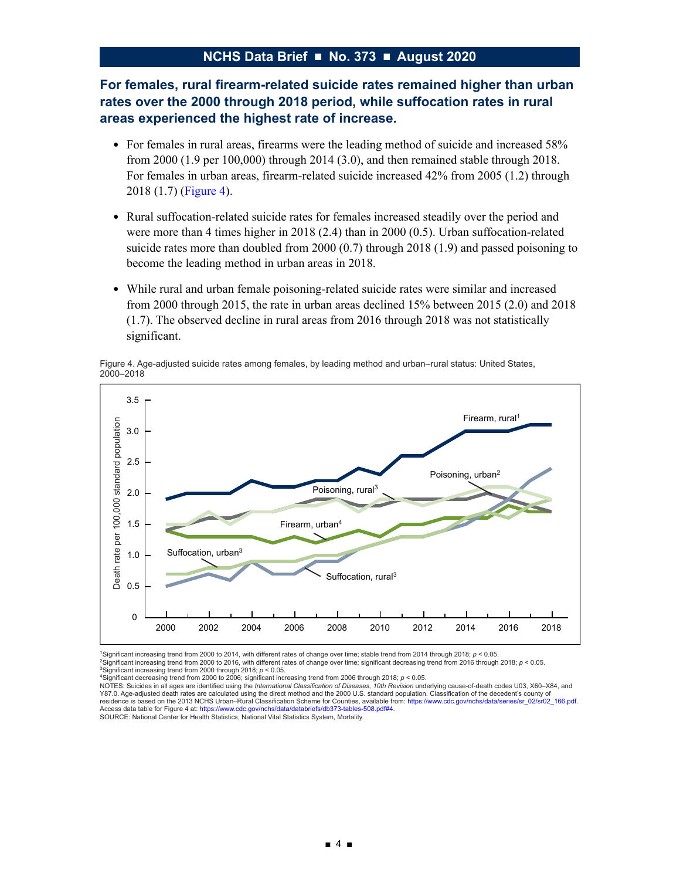## **For females, rural firearm-related suicide rates remained higher than urban rates over the 2000 through 2018 period, while suffocation rates in rural areas experienced the highest rate of increase.**

- For females in rural areas, firearms were the leading method of suicide and increased 58% from 2000 (1.9 per 100,000) through 2014 (3.0), and then remained stable through 2018. For females in urban areas, firearm-related suicide increased 42% from 2005 (1.2) through 2018 (1.7) (Figure 4).
- Rural suffocation-related suicide rates for females increased steadily over the period and were more than 4 times higher in 2018 (2.4) than in 2000 (0.5). Urban suffocation-related suicide rates more than doubled from 2000 (0.7) through 2018 (1.9) and passed poisoning to become the leading method in urban areas in 2018.
- While rural and urban female poisoning-related suicide rates were similar and increased from 2000 through 2015, the rate in urban areas declined 15% between 2015 (2.0) and 2018 (1.7). The observed decline in rural areas from 2016 through 2018 was not statistically significant.





1Significant increasing trend from 2000 to 2014, with different rates of change over time; stable trend from 2014 through 2018; *p* < 0.05. 2Significant increasing trend from 2000 to 2016, with different rates of change over time; significant decreasing trend from 2016 through 2018; *p* < 0.05.

<sup>3</sup>Significant increasing trend from 2000 through 2018; *p* < 0.05.<br><sup>4</sup>Significant decreasing trend from 2000 to 2006; significant increasing trend from 2006 through 2018; *p* < 0.05.

NOTES: Suicides in all ages are identified using the *International Classification of Diseases, 10th Revision* underlying cause-of-death codes U03, X60–X84, and Y87.0. Age-adjusted death rates are calculated using the direct method and the 2000 U.S. standard population. Classification of the decedent's county of residence is based on the 2013 NCHS Urban–Rural Classification Scheme for Counties, available from: [https://www.cdc.gov/nchs/data/series/sr\\_02/sr02\\_166.pdf.](https://www.cdc.gov/nchs/data/series/sr_02/sr02_166.pdf) Access data table for Figure 4 at: [https://www.cdc.gov/nchs/data/databriefs/db373-tables-508.pdf#4.](https://www.cdc.gov/nchs/data/databriefs/db373-tables-508.pdf#4)<br>SOURCE: National Center for Health Statistics, National Vital Statistics System, Mortality.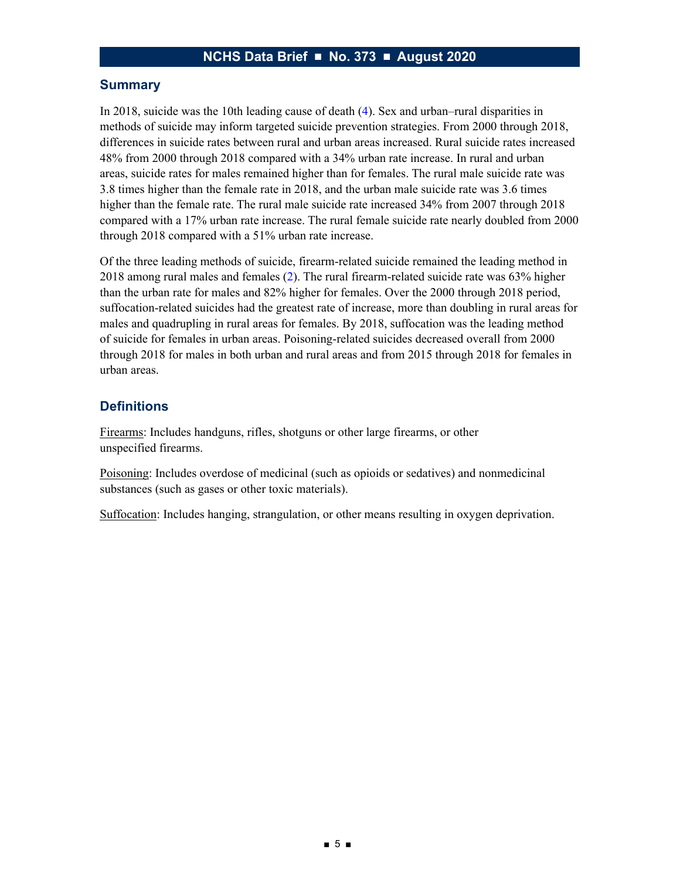#### **Summary**

In 2018, suicide was the 10th leading cause of death [\(4\)](#page-6-3). Sex and urban–rural disparities in methods of suicide may inform targeted suicide prevention strategies. From 2000 through 2018, differences in suicide rates between rural and urban areas increased. Rural suicide rates increased 48% from 2000 through 2018 compared with a 34% urban rate increase. In rural and urban areas, suicide rates for males remained higher than for females. The rural male suicide rate was 3.8 times higher than the female rate in 2018, and the urban male suicide rate was 3.6 times higher than the female rate. The rural male suicide rate increased 34% from 2007 through 2018 compared with a 17% urban rate increase. The rural female suicide rate nearly doubled from 2000 through 2018 compared with a 51% urban rate increase.

Of the three leading methods of suicide, firearm-related suicide remained the leading method in 2018 among rural males and females [\(2\)](#page-6-1). The rural firearm-related suicide rate was 63% higher than the urban rate for males and 82% higher for females. Over the 2000 through 2018 period, suffocation-related suicides had the greatest rate of increase, more than doubling in rural areas for males and quadrupling in rural areas for females. By 2018, suffocation was the leading method of suicide for females in urban areas. Poisoning-related suicides decreased overall from 2000 through 2018 for males in both urban and rural areas and from 2015 through 2018 for females in urban areas.

### **Definitions**

Firearms: Includes handguns, rifles, shotguns or other large firearms, or other unspecified firearms.

Poisoning: Includes overdose of medicinal (such as opioids or sedatives) and nonmedicinal substances (such as gases or other toxic materials).

Suffocation: Includes hanging, strangulation, or other means resulting in oxygen deprivation.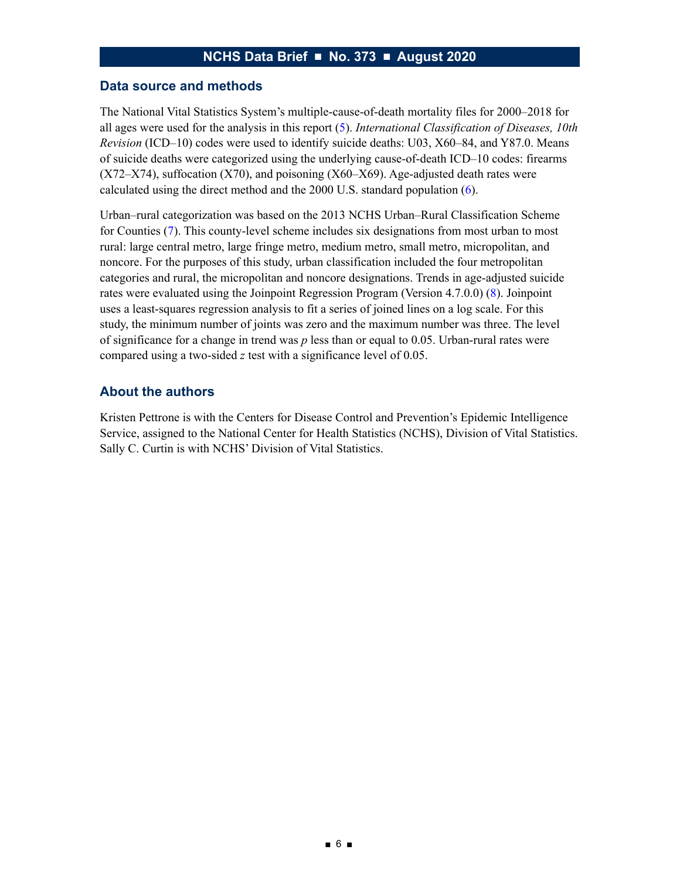#### **Data source and methods**

The National Vital Statistics System's multiple-cause-of-death mortality files for 2000–2018 for all ages were used for the analysis in this report [\(5\)](#page-6-4). *International Classification of Diseases, 10th Revision* (ICD–10) codes were used to identify suicide deaths: U03, X60–84, and Y87.0. Means of suicide deaths were categorized using the underlying cause-of-death ICD–10 codes: firearms  $(X72-X74)$ , suffocation  $(X70)$ , and poisoning  $(X60-X69)$ . Age-adjusted death rates were calculated using the direct method and the 2000 U.S. standard population [\(6\)](#page-6-5).

Urban–rural categorization was based on the 2013 NCHS Urban–Rural Classification Scheme for Counties [\(7\)](#page-6-6). This county-level scheme includes six designations from most urban to most rural: large central metro, large fringe metro, medium metro, small metro, micropolitan, and noncore. For the purposes of this study, urban classification included the four metropolitan categories and rural, the micropolitan and noncore designations. Trends in age-adjusted suicide rates were evaluated using the Joinpoint Regression Program (Version 4.7.0.0) [\(8\)](#page-6-7). Joinpoint uses a least-squares regression analysis to fit a series of joined lines on a log scale. For this study, the minimum number of joints was zero and the maximum number was three. The level of significance for a change in trend was *p* less than or equal to 0.05. Urban-rural rates were compared using a two-sided *z* test with a significance level of 0.05.

#### **About the authors**

Kristen Pettrone is with the Centers for Disease Control and Prevention's Epidemic Intelligence Service, assigned to the National Center for Health Statistics (NCHS), Division of Vital Statistics. Sally C. Curtin is with NCHS' Division of Vital Statistics.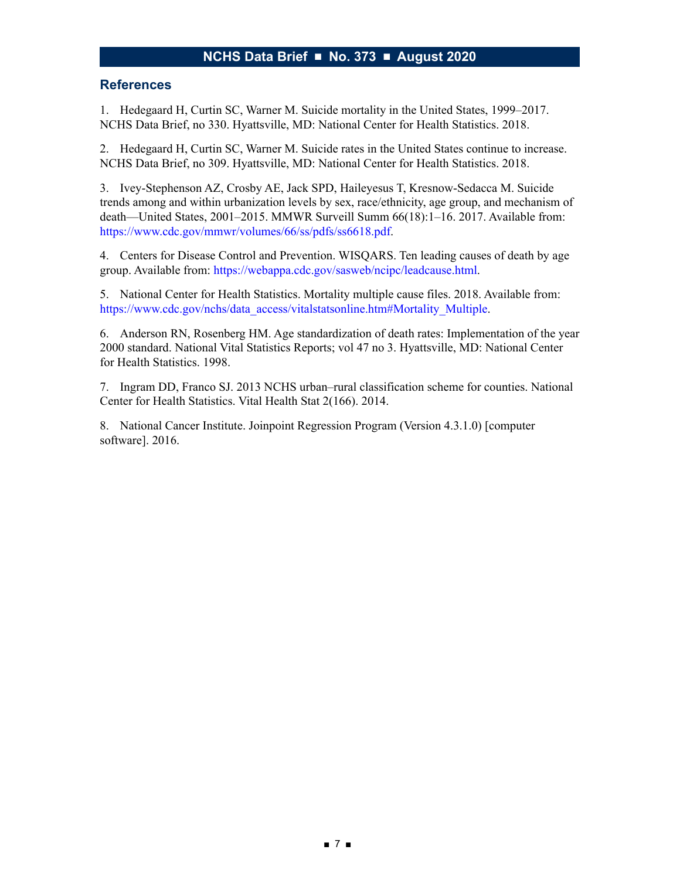#### **References**

<span id="page-6-0"></span>1. Hedegaard H, Curtin SC, Warner M. Suicide mortality in the United States, 1999–2017. NCHS Data Brief, no 330. Hyattsville, MD: National Center for Health Statistics. 2018.

<span id="page-6-1"></span>2. Hedegaard H, Curtin SC, Warner M. Suicide rates in the United States continue to increase. NCHS Data Brief, no 309. Hyattsville, MD: National Center for Health Statistics. 2018.

<span id="page-6-2"></span>3. Ivey-Stephenson AZ, Crosby AE, Jack SPD, Haileyesus T, Kresnow-Sedacca M. Suicide trends among and within urbanization levels by sex, race/ethnicity, age group, and mechanism of death—United States, 2001–2015. MMWR Surveill Summ 66(18):1–16. 2017. Available from: [https://www.cdc.gov/mmwr/volumes/66/ss/pdfs/ss6618.pdf.](https://www.cdc.gov/mmwr/volumes/66/ss/pdfs/ss6618.pdf)

<span id="page-6-3"></span>4. Centers for Disease Control and Prevention. WISQARS. Ten leading causes of death by age group. Available from: [https://webappa.cdc.gov/sasweb/ncipc/leadcause.html.](https://webappa.cdc.gov/sasweb/ncipc/leadcause.html)

<span id="page-6-4"></span>5. National Center for Health Statistics. Mortality multiple cause files. 2018. Available from: [https://www.cdc.gov/nchs/data\\_access/vitalstatsonline.htm#Mortality\\_Multiple](https://www.cdc.gov/nchs/data_access/vitalstatsonline.htm#Mortality_Multiple).

<span id="page-6-5"></span>6. Anderson RN, Rosenberg HM. Age standardization of death rates: Implementation of the year 2000 standard. National Vital Statistics Reports; vol 47 no 3. Hyattsville, MD: National Center for Health Statistics. 1998.

<span id="page-6-6"></span>7. Ingram DD, Franco SJ. 2013 NCHS urban–rural classification scheme for counties. National Center for Health Statistics. Vital Health Stat 2(166). 2014.

<span id="page-6-7"></span>8. National Cancer Institute. Joinpoint Regression Program (Version 4.3.1.0) [computer software]. 2016.